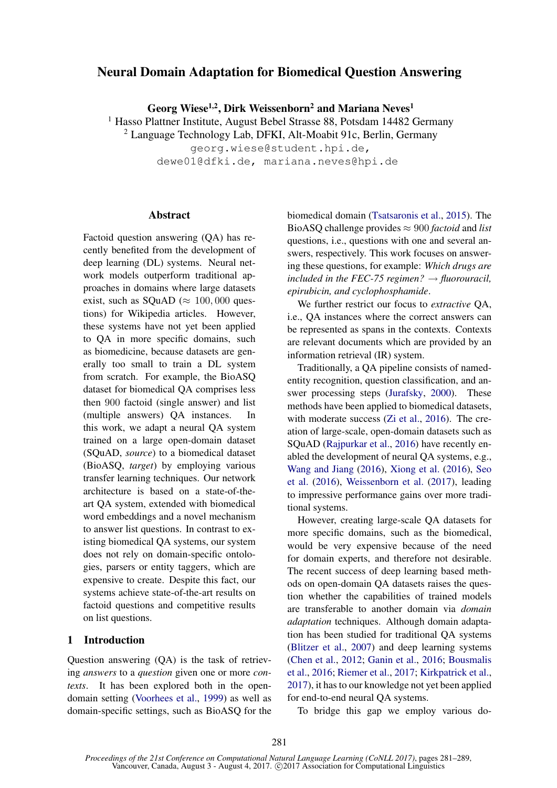# Neural Domain Adaptation for Biomedical Question Answering

Georg Wiese<sup>1,2</sup>, Dirk Weissenborn<sup>2</sup> and Mariana Neves<sup>1</sup>

<sup>1</sup> Hasso Plattner Institute, August Bebel Strasse 88, Potsdam 14482 Germany

 $2$  Language Technology Lab, DFKI, Alt-Moabit 91c, Berlin, Germany

georg.wiese@student.hpi.de, dewe01@dfki.de, mariana.neves@hpi.de

#### **Abstract**

Factoid question answering (QA) has recently benefited from the development of deep learning (DL) systems. Neural network models outperform traditional approaches in domains where large datasets exist, such as SQuAD ( $\approx 100,000$  questions) for Wikipedia articles. However, these systems have not yet been applied to QA in more specific domains, such as biomedicine, because datasets are generally too small to train a DL system from scratch. For example, the BioASQ dataset for biomedical QA comprises less then 900 factoid (single answer) and list (multiple answers) QA instances. In this work, we adapt a neural QA system trained on a large open-domain dataset (SQuAD, *source*) to a biomedical dataset (BioASQ, *target*) by employing various transfer learning techniques. Our network architecture is based on a state-of-theart QA system, extended with biomedical word embeddings and a novel mechanism to answer list questions. In contrast to existing biomedical QA systems, our system does not rely on domain-specific ontologies, parsers or entity taggers, which are expensive to create. Despite this fact, our systems achieve state-of-the-art results on factoid questions and competitive results on list questions.

#### 1 Introduction

Question answering (QA) is the task of retrieving *answers* to a *question* given one or more *contexts*. It has been explored both in the opendomain setting (Voorhees et al., 1999) as well as domain-specific settings, such as BioASQ for the biomedical domain (Tsatsaronis et al., 2015). The BioASQ challenge provides  $\approx 900$  *factoid* and *list* questions, i.e., questions with one and several answers, respectively. This work focuses on answering these questions, for example: *Which drugs are included in the FEC-75 regimen?*  $\rightarrow$  *fluorouracil, epirubicin, and cyclophosphamide*.

We further restrict our focus to *extractive* QA, i.e., QA instances where the correct answers can be represented as spans in the contexts. Contexts are relevant documents which are provided by an information retrieval (IR) system.

Traditionally, a QA pipeline consists of namedentity recognition, question classification, and answer processing steps (Jurafsky, 2000). These methods have been applied to biomedical datasets, with moderate success (Zi et al., 2016). The creation of large-scale, open-domain datasets such as SQuAD (Rajpurkar et al., 2016) have recently enabled the development of neural QA systems, e.g., Wang and Jiang (2016), Xiong et al. (2016), Seo et al. (2016), Weissenborn et al. (2017), leading to impressive performance gains over more traditional systems.

However, creating large-scale QA datasets for more specific domains, such as the biomedical, would be very expensive because of the need for domain experts, and therefore not desirable. The recent success of deep learning based methods on open-domain QA datasets raises the question whether the capabilities of trained models are transferable to another domain via *domain adaptation* techniques. Although domain adaptation has been studied for traditional QA systems (Blitzer et al., 2007) and deep learning systems (Chen et al., 2012; Ganin et al., 2016; Bousmalis et al., 2016; Riemer et al., 2017; Kirkpatrick et al., 2017), it has to our knowledge not yet been applied for end-to-end neural QA systems.

To bridge this gap we employ various do-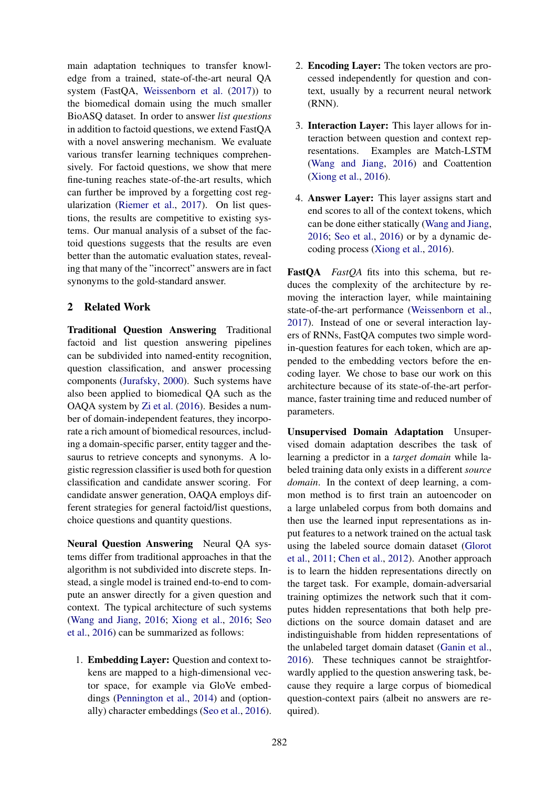main adaptation techniques to transfer knowledge from a trained, state-of-the-art neural QA system (FastQA, Weissenborn et al. (2017)) to the biomedical domain using the much smaller BioASQ dataset. In order to answer *list questions* in addition to factoid questions, we extend FastQA with a novel answering mechanism. We evaluate various transfer learning techniques comprehensively. For factoid questions, we show that mere fine-tuning reaches state-of-the-art results, which can further be improved by a forgetting cost regularization (Riemer et al., 2017). On list questions, the results are competitive to existing systems. Our manual analysis of a subset of the factoid questions suggests that the results are even better than the automatic evaluation states, revealing that many of the "incorrect" answers are in fact synonyms to the gold-standard answer.

## 2 Related Work

Traditional Question Answering Traditional factoid and list question answering pipelines can be subdivided into named-entity recognition, question classification, and answer processing components (Jurafsky, 2000). Such systems have also been applied to biomedical QA such as the OAQA system by Zi et al. (2016). Besides a number of domain-independent features, they incorporate a rich amount of biomedical resources, including a domain-specific parser, entity tagger and thesaurus to retrieve concepts and synonyms. A logistic regression classifier is used both for question classification and candidate answer scoring. For candidate answer generation, OAQA employs different strategies for general factoid/list questions, choice questions and quantity questions.

Neural Question Answering Neural QA systems differ from traditional approaches in that the algorithm is not subdivided into discrete steps. Instead, a single model is trained end-to-end to compute an answer directly for a given question and context. The typical architecture of such systems (Wang and Jiang, 2016; Xiong et al., 2016; Seo et al., 2016) can be summarized as follows:

1. Embedding Layer: Question and context tokens are mapped to a high-dimensional vector space, for example via GloVe embeddings (Pennington et al., 2014) and (optionally) character embeddings (Seo et al., 2016).

- 2. Encoding Layer: The token vectors are processed independently for question and context, usually by a recurrent neural network (RNN).
- 3. Interaction Layer: This layer allows for interaction between question and context representations. Examples are Match-LSTM (Wang and Jiang, 2016) and Coattention (Xiong et al., 2016).
- 4. Answer Layer: This layer assigns start and end scores to all of the context tokens, which can be done either statically (Wang and Jiang, 2016; Seo et al., 2016) or by a dynamic decoding process (Xiong et al., 2016).

FastQA *FastQA* fits into this schema, but reduces the complexity of the architecture by removing the interaction layer, while maintaining state-of-the-art performance (Weissenborn et al., 2017). Instead of one or several interaction layers of RNNs, FastQA computes two simple wordin-question features for each token, which are appended to the embedding vectors before the encoding layer. We chose to base our work on this architecture because of its state-of-the-art performance, faster training time and reduced number of parameters.

Unsupervised Domain Adaptation Unsupervised domain adaptation describes the task of learning a predictor in a *target domain* while labeled training data only exists in a different *source domain*. In the context of deep learning, a common method is to first train an autoencoder on a large unlabeled corpus from both domains and then use the learned input representations as input features to a network trained on the actual task using the labeled source domain dataset (Glorot et al., 2011; Chen et al., 2012). Another approach is to learn the hidden representations directly on the target task. For example, domain-adversarial training optimizes the network such that it computes hidden representations that both help predictions on the source domain dataset and are indistinguishable from hidden representations of the unlabeled target domain dataset (Ganin et al., 2016). These techniques cannot be straightforwardly applied to the question answering task, because they require a large corpus of biomedical question-context pairs (albeit no answers are required).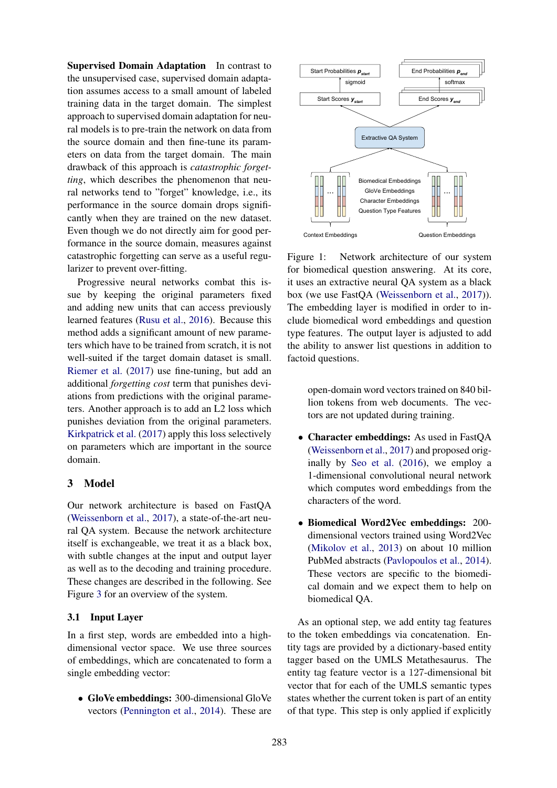Supervised Domain Adaptation In contrast to the unsupervised case, supervised domain adaptation assumes access to a small amount of labeled training data in the target domain. The simplest approach to supervised domain adaptation for neural models is to pre-train the network on data from the source domain and then fine-tune its parameters on data from the target domain. The main drawback of this approach is *catastrophic forgetting*, which describes the phenomenon that neural networks tend to "forget" knowledge, i.e., its performance in the source domain drops significantly when they are trained on the new dataset. Even though we do not directly aim for good performance in the source domain, measures against catastrophic forgetting can serve as a useful regularizer to prevent over-fitting.

Progressive neural networks combat this issue by keeping the original parameters fixed and adding new units that can access previously learned features (Rusu et al., 2016). Because this method adds a significant amount of new parameters which have to be trained from scratch, it is not well-suited if the target domain dataset is small. Riemer et al. (2017) use fine-tuning, but add an additional *forgetting cost* term that punishes deviations from predictions with the original parameters. Another approach is to add an L2 loss which punishes deviation from the original parameters. Kirkpatrick et al. (2017) apply this loss selectively on parameters which are important in the source domain.

## 3 Model

Our network architecture is based on FastQA (Weissenborn et al., 2017), a state-of-the-art neural QA system. Because the network architecture itself is exchangeable, we treat it as a black box, with subtle changes at the input and output layer as well as to the decoding and training procedure. These changes are described in the following. See Figure 3 for an overview of the system.

#### 3.1 Input Layer

In a first step, words are embedded into a highdimensional vector space. We use three sources of embeddings, which are concatenated to form a single embedding vector:

• GloVe embeddings: 300-dimensional GloVe vectors (Pennington et al., 2014). These are



Figure 1: Network architecture of our system for biomedical question answering. At its core, it uses an extractive neural QA system as a black box (we use FastQA (Weissenborn et al., 2017)). The embedding layer is modified in order to include biomedical word embeddings and question type features. The output layer is adjusted to add the ability to answer list questions in addition to factoid questions.

open-domain word vectors trained on 840 billion tokens from web documents. The vectors are not updated during training.

- Character embeddings: As used in FastOA (Weissenborn et al., 2017) and proposed originally by Seo et al. (2016), we employ a 1-dimensional convolutional neural network which computes word embeddings from the characters of the word.
- Biomedical Word2Vec embeddings: 200 dimensional vectors trained using Word2Vec (Mikolov et al., 2013) on about 10 million PubMed abstracts (Pavlopoulos et al., 2014). These vectors are specific to the biomedical domain and we expect them to help on biomedical QA.

As an optional step, we add entity tag features to the token embeddings via concatenation. Entity tags are provided by a dictionary-based entity tagger based on the UMLS Metathesaurus. The entity tag feature vector is a 127-dimensional bit vector that for each of the UMLS semantic types states whether the current token is part of an entity of that type. This step is only applied if explicitly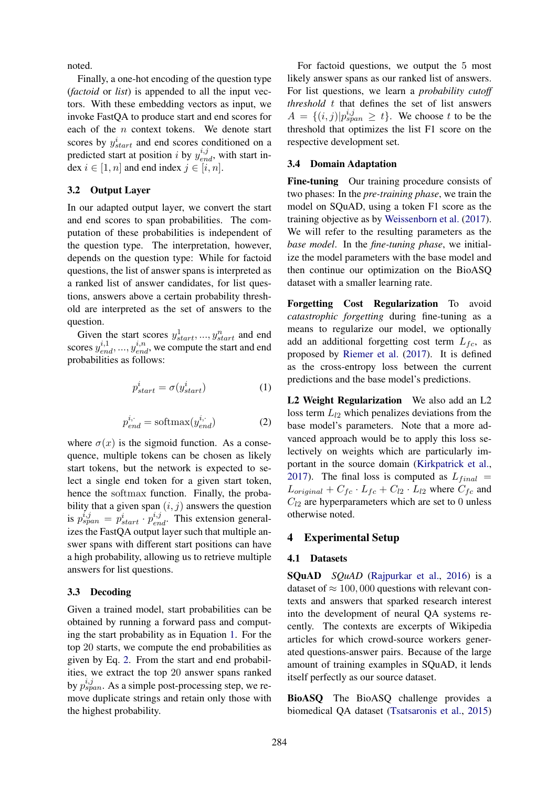noted.

Finally, a one-hot encoding of the question type (*factoid* or *list*) is appended to all the input vectors. With these embedding vectors as input, we invoke FastQA to produce start and end scores for each of the  $n$  context tokens. We denote start scores by  $y_{start}^i$  and end scores conditioned on a predicted start at position i by  $y_{end}^{i,j}$ , with start index  $i \in [1, n]$  and end index  $j \in [i, n]$ .

#### 3.2 Output Layer

In our adapted output layer, we convert the start and end scores to span probabilities. The computation of these probabilities is independent of the question type. The interpretation, however, depends on the question type: While for factoid questions, the list of answer spans is interpreted as a ranked list of answer candidates, for list questions, answers above a certain probability threshold are interpreted as the set of answers to the question.

Given the start scores  $y_{start}^1, ..., y_{start}^n$  and end scores  $y_{end}^{i,1},...,y_{end}^{i,n}$ , we compute the start and end probabilities as follows:

$$
p_{start}^i = \sigma(y_{start}^i)
$$
 (1)

$$
p_{end}^{i,\cdot} = \text{softmax}(y_{end}^{i,\cdot})
$$
 (2)

where  $\sigma(x)$  is the sigmoid function. As a consequence, multiple tokens can be chosen as likely start tokens, but the network is expected to select a single end token for a given start token, hence the softmax function. Finally, the probability that a given span  $(i, j)$  answers the question is  $p_{span}^{i,j} = p_{start}^{i} \cdot p_{end}^{i,j}$ . This extension generalizes the FastQA output layer such that multiple answer spans with different start positions can have a high probability, allowing us to retrieve multiple answers for list questions.

#### 3.3 Decoding

Given a trained model, start probabilities can be obtained by running a forward pass and computing the start probability as in Equation 1. For the top 20 starts, we compute the end probabilities as given by Eq. 2. From the start and end probabilities, we extract the top 20 answer spans ranked by  $p_{span}^{i,j}$ . As a simple post-processing step, we remove duplicate strings and retain only those with the highest probability.

For factoid questions, we output the 5 most likely answer spans as our ranked list of answers. For list questions, we learn a *probability cutoff threshold* t that defines the set of list answers  $A = \{(i, j)|p^{i, j}_{span} \geq t\}$ . We choose t to be the threshold that optimizes the list F1 score on the respective development set.

#### 3.4 Domain Adaptation

Fine-tuning Our training procedure consists of two phases: In the *pre-training phase*, we train the model on SQuAD, using a token F1 score as the training objective as by Weissenborn et al. (2017). We will refer to the resulting parameters as the *base model*. In the *fine-tuning phase*, we initialize the model parameters with the base model and then continue our optimization on the BioASQ dataset with a smaller learning rate.

Forgetting Cost Regularization To avoid *catastrophic forgetting* during fine-tuning as a means to regularize our model, we optionally add an additional forgetting cost term  $L_{fc}$ , as proposed by Riemer et al. (2017). It is defined as the cross-entropy loss between the current predictions and the base model's predictions.

L2 Weight Regularization We also add an L2 loss term  $L_{12}$  which penalizes deviations from the base model's parameters. Note that a more advanced approach would be to apply this loss selectively on weights which are particularly important in the source domain (Kirkpatrick et al., 2017). The final loss is computed as  $L_{final}$  =  $L_{original} + C_{fc} \cdot L_{fc} + C_{l2} \cdot L_{l2}$  where  $C_{fc}$  and  $C_{12}$  are hyperparameters which are set to 0 unless otherwise noted.

## 4 Experimental Setup

#### 4.1 Datasets

SQuAD *SQuAD* (Rajpurkar et al., 2016) is a dataset of  $\approx 100,000$  questions with relevant contexts and answers that sparked research interest into the development of neural QA systems recently. The contexts are excerpts of Wikipedia articles for which crowd-source workers generated questions-answer pairs. Because of the large amount of training examples in SQuAD, it lends itself perfectly as our source dataset.

BioASQ The BioASQ challenge provides a biomedical QA dataset (Tsatsaronis et al., 2015)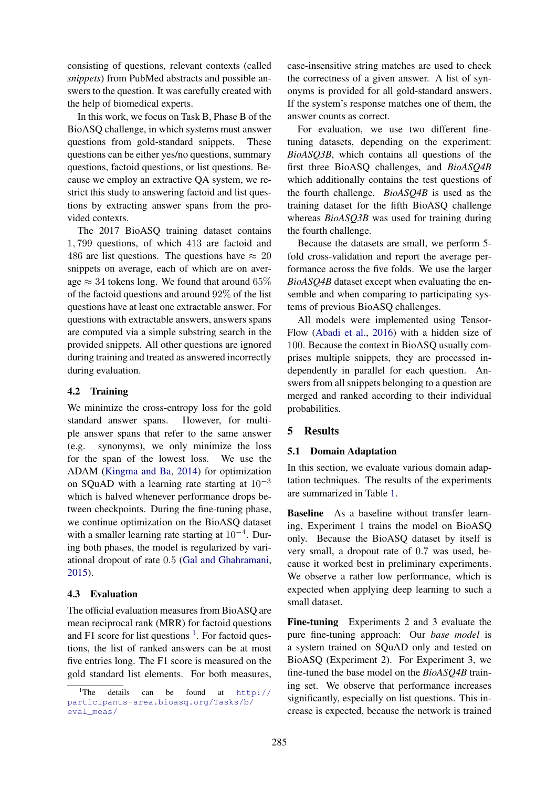consisting of questions, relevant contexts (called *snippets*) from PubMed abstracts and possible answers to the question. It was carefully created with the help of biomedical experts.

In this work, we focus on Task B, Phase B of the BioASQ challenge, in which systems must answer questions from gold-standard snippets. These questions can be either yes/no questions, summary questions, factoid questions, or list questions. Because we employ an extractive QA system, we restrict this study to answering factoid and list questions by extracting answer spans from the provided contexts.

The 2017 BioASQ training dataset contains 1, 799 questions, of which 413 are factoid and 486 are list questions. The questions have  $\approx 20$ snippets on average, each of which are on average  $\approx$  34 tokens long. We found that around 65% of the factoid questions and around 92% of the list questions have at least one extractable answer. For questions with extractable answers, answers spans are computed via a simple substring search in the provided snippets. All other questions are ignored during training and treated as answered incorrectly during evaluation.

## 4.2 Training

We minimize the cross-entropy loss for the gold standard answer spans. However, for multiple answer spans that refer to the same answer (e.g. synonyms), we only minimize the loss for the span of the lowest loss. We use the ADAM (Kingma and Ba, 2014) for optimization on SQuAD with a learning rate starting at  $10^{-3}$ which is halved whenever performance drops between checkpoints. During the fine-tuning phase, we continue optimization on the BioASQ dataset with a smaller learning rate starting at  $10^{-4}$ . During both phases, the model is regularized by variational dropout of rate 0.5 (Gal and Ghahramani, 2015).

## 4.3 Evaluation

The official evaluation measures from BioASQ are mean reciprocal rank (MRR) for factoid questions and F1 score for list questions  $<sup>1</sup>$ . For factoid ques-</sup> tions, the list of ranked answers can be at most five entries long. The F1 score is measured on the gold standard list elements. For both measures,

case-insensitive string matches are used to check the correctness of a given answer. A list of synonyms is provided for all gold-standard answers. If the system's response matches one of them, the answer counts as correct.

For evaluation, we use two different finetuning datasets, depending on the experiment: *BioASQ3B*, which contains all questions of the first three BioASQ challenges, and *BioASQ4B* which additionally contains the test questions of the fourth challenge. *BioASQ4B* is used as the training dataset for the fifth BioASQ challenge whereas *BioASQ3B* was used for training during the fourth challenge.

Because the datasets are small, we perform 5 fold cross-validation and report the average performance across the five folds. We use the larger *BioASQ4B* dataset except when evaluating the ensemble and when comparing to participating systems of previous BioASQ challenges.

All models were implemented using Tensor-Flow (Abadi et al., 2016) with a hidden size of 100. Because the context in BioASQ usually comprises multiple snippets, they are processed independently in parallel for each question. Answers from all snippets belonging to a question are merged and ranked according to their individual probabilities.

## 5 Results

## 5.1 Domain Adaptation

In this section, we evaluate various domain adaptation techniques. The results of the experiments are summarized in Table 1.

Baseline As a baseline without transfer learning, Experiment 1 trains the model on BioASQ only. Because the BioASQ dataset by itself is very small, a dropout rate of 0.7 was used, because it worked best in preliminary experiments. We observe a rather low performance, which is expected when applying deep learning to such a small dataset.

Fine-tuning Experiments 2 and 3 evaluate the pure fine-tuning approach: Our *base model* is a system trained on SQuAD only and tested on BioASQ (Experiment 2). For Experiment 3, we fine-tuned the base model on the *BioASQ4B* training set. We observe that performance increases significantly, especially on list questions. This increase is expected, because the network is trained

<sup>&</sup>lt;sup>1</sup>The details can be found at  $h \text{ttp}$ :// participants-area.bioasq.org/Tasks/b/ eval\_meas/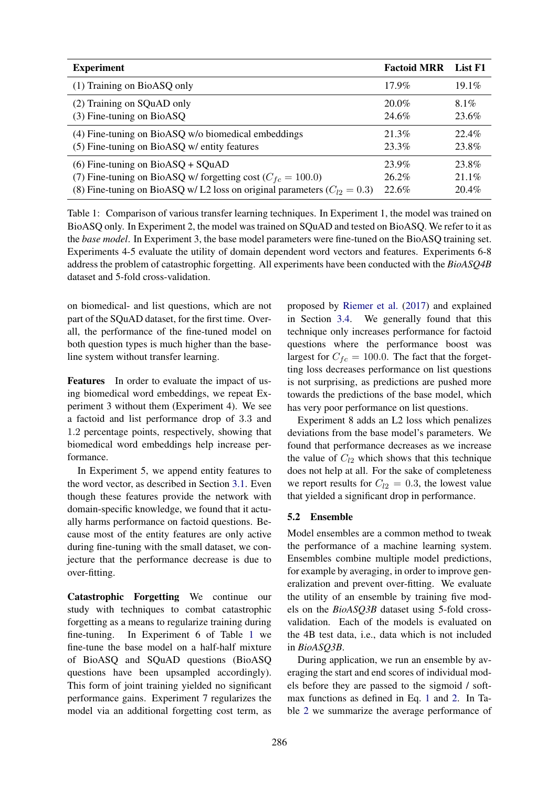| <b>Experiment</b>                                                              | <b>Factoid MRR</b> | List F1  |
|--------------------------------------------------------------------------------|--------------------|----------|
| (1) Training on BioASQ only                                                    | $17.9\%$           | $19.1\%$ |
| (2) Training on SQuAD only                                                     | $20.0\%$           | $8.1\%$  |
| $(3)$ Fine-tuning on BioASQ                                                    | 24.6%              | 23.6%    |
| (4) Fine-tuning on BioASQ w/o biomedical embeddings                            | 21.3%              | 22.4%    |
| (5) Fine-tuning on BioASQ w/ entity features                                   | 23.3%              | 23.8%    |
| $(6)$ Fine-tuning on BioASQ + SQuAD                                            | 23.9%              | 23.8%    |
| (7) Fine-tuning on BioASQ w/ forgetting cost ( $C_{fc} = 100.0$ )              | $26.2\%$           | $21.1\%$ |
| (8) Fine-tuning on BioASQ w/ L2 loss on original parameters ( $C_{12} = 0.3$ ) | 22.6%              | 20.4%    |

Table 1: Comparison of various transfer learning techniques. In Experiment 1, the model was trained on BioASQ only. In Experiment 2, the model was trained on SQuAD and tested on BioASQ. We refer to it as the *base model*. In Experiment 3, the base model parameters were fine-tuned on the BioASQ training set. Experiments 4-5 evaluate the utility of domain dependent word vectors and features. Experiments 6-8 address the problem of catastrophic forgetting. All experiments have been conducted with the *BioASQ4B* dataset and 5-fold cross-validation.

on biomedical- and list questions, which are not part of the SQuAD dataset, for the first time. Overall, the performance of the fine-tuned model on both question types is much higher than the baseline system without transfer learning.

Features In order to evaluate the impact of using biomedical word embeddings, we repeat Experiment 3 without them (Experiment 4). We see a factoid and list performance drop of 3.3 and 1.2 percentage points, respectively, showing that biomedical word embeddings help increase performance.

In Experiment 5, we append entity features to the word vector, as described in Section 3.1. Even though these features provide the network with domain-specific knowledge, we found that it actually harms performance on factoid questions. Because most of the entity features are only active during fine-tuning with the small dataset, we conjecture that the performance decrease is due to over-fitting.

Catastrophic Forgetting We continue our study with techniques to combat catastrophic forgetting as a means to regularize training during fine-tuning. In Experiment 6 of Table 1 we fine-tune the base model on a half-half mixture of BioASQ and SQuAD questions (BioASQ questions have been upsampled accordingly). This form of joint training yielded no significant performance gains. Experiment 7 regularizes the model via an additional forgetting cost term, as

proposed by Riemer et al. (2017) and explained in Section 3.4. We generally found that this technique only increases performance for factoid questions where the performance boost was largest for  $C_{fc} = 100.0$ . The fact that the forgetting loss decreases performance on list questions is not surprising, as predictions are pushed more towards the predictions of the base model, which has very poor performance on list questions.

Experiment 8 adds an L2 loss which penalizes deviations from the base model's parameters. We found that performance decreases as we increase the value of  $C_{12}$  which shows that this technique does not help at all. For the sake of completeness we report results for  $C_{l2} = 0.3$ , the lowest value that yielded a significant drop in performance.

## 5.2 Ensemble

Model ensembles are a common method to tweak the performance of a machine learning system. Ensembles combine multiple model predictions, for example by averaging, in order to improve generalization and prevent over-fitting. We evaluate the utility of an ensemble by training five models on the *BioASQ3B* dataset using 5-fold crossvalidation. Each of the models is evaluated on the 4B test data, i.e., data which is not included in *BioASQ3B*.

During application, we run an ensemble by averaging the start and end scores of individual models before they are passed to the sigmoid / softmax functions as defined in Eq. 1 and 2. In Table 2 we summarize the average performance of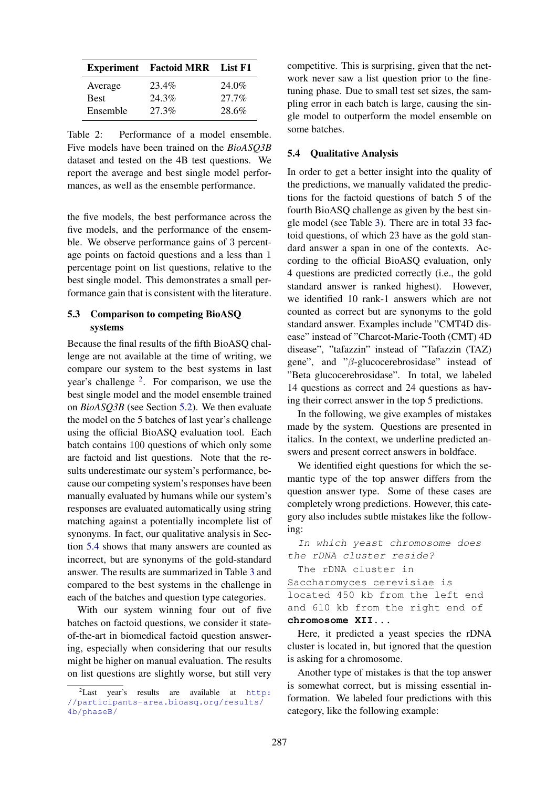|             | <b>Experiment</b> Factoid MRR List F1 |          |
|-------------|---------------------------------------|----------|
| Average     | 23.4%                                 | 24.0%    |
| <b>Best</b> | 24.3%                                 | $27.7\%$ |
| Ensemble    | 27.3%                                 | 28.6%    |

Table 2: Performance of a model ensemble. Five models have been trained on the *BioASQ3B* dataset and tested on the 4B test questions. We report the average and best single model performances, as well as the ensemble performance.

the five models, the best performance across the five models, and the performance of the ensemble. We observe performance gains of 3 percentage points on factoid questions and a less than 1 percentage point on list questions, relative to the best single model. This demonstrates a small performance gain that is consistent with the literature.

#### 5.3 Comparison to competing BioASQ systems

Because the final results of the fifth BioASQ challenge are not available at the time of writing, we compare our system to the best systems in last year's challenge  $2$ . For comparison, we use the best single model and the model ensemble trained on *BioASQ3B* (see Section 5.2). We then evaluate the model on the 5 batches of last year's challenge using the official BioASQ evaluation tool. Each batch contains 100 questions of which only some are factoid and list questions. Note that the results underestimate our system's performance, because our competing system's responses have been manually evaluated by humans while our system's responses are evaluated automatically using string matching against a potentially incomplete list of synonyms. In fact, our qualitative analysis in Section 5.4 shows that many answers are counted as incorrect, but are synonyms of the gold-standard answer. The results are summarized in Table 3 and compared to the best systems in the challenge in each of the batches and question type categories.

With our system winning four out of five batches on factoid questions, we consider it stateof-the-art in biomedical factoid question answering, especially when considering that our results might be higher on manual evaluation. The results on list questions are slightly worse, but still very competitive. This is surprising, given that the network never saw a list question prior to the finetuning phase. Due to small test set sizes, the sampling error in each batch is large, causing the single model to outperform the model ensemble on some batches.

#### 5.4 Qualitative Analysis

In order to get a better insight into the quality of the predictions, we manually validated the predictions for the factoid questions of batch 5 of the fourth BioASQ challenge as given by the best single model (see Table 3). There are in total 33 factoid questions, of which 23 have as the gold standard answer a span in one of the contexts. According to the official BioASQ evaluation, only 4 questions are predicted correctly (i.e., the gold standard answer is ranked highest). However, we identified 10 rank-1 answers which are not counted as correct but are synonyms to the gold standard answer. Examples include "CMT4D disease" instead of "Charcot-Marie-Tooth (CMT) 4D disease", "tafazzin" instead of "Tafazzin (TAZ) gene", and "β-glucocerebrosidase" instead of "Beta glucocerebrosidase". In total, we labeled 14 questions as correct and 24 questions as having their correct answer in the top 5 predictions.

In the following, we give examples of mistakes made by the system. Questions are presented in italics. In the context, we underline predicted answers and present correct answers in boldface.

We identified eight questions for which the semantic type of the top answer differs from the question answer type. Some of these cases are completely wrong predictions. However, this category also includes subtle mistakes like the following:

In which yeast chromosome does the rDNA cluster reside? The rDNA cluster in Saccharomyces cerevisiae is located 450 kb from the left end and 610 kb from the right end of

#### **chromosome XII**...

Here, it predicted a yeast species the rDNA cluster is located in, but ignored that the question is asking for a chromosome.

Another type of mistakes is that the top answer is somewhat correct, but is missing essential information. We labeled four predictions with this category, like the following example:

 ${}^{2}$ Last year's results are available at http: //participants-area.bioasq.org/results/ 4b/phaseB/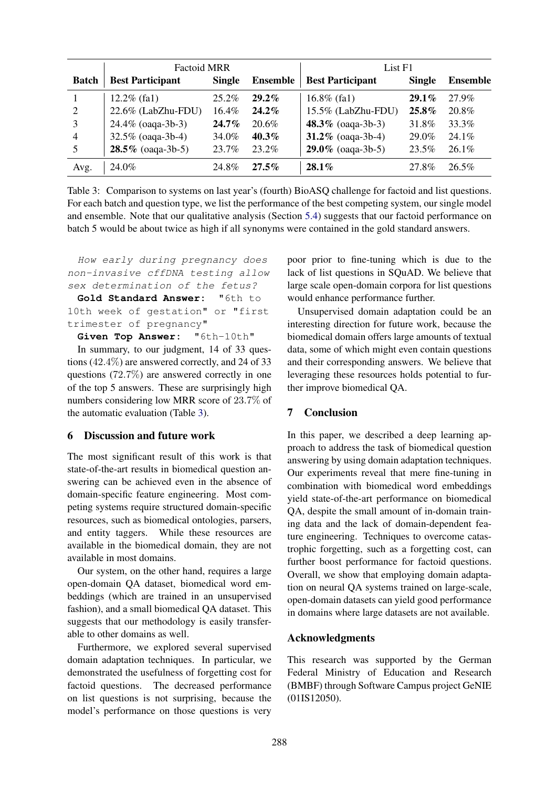|              | <b>Factoid MRR</b>      |               |                 | List F1                 |               |                 |
|--------------|-------------------------|---------------|-----------------|-------------------------|---------------|-----------------|
| <b>Batch</b> | <b>Best Participant</b> | <b>Single</b> | <b>Ensemble</b> | <b>Best Participant</b> | <b>Single</b> | <b>Ensemble</b> |
|              | $12.2\%$ (fa1)          | $25.2\%$      | $29.2\%$        | $16.8\%$ (fa1)          | $29.1\%$      | 27.9%           |
| 2            | 22.6% (LabZhu-FDU)      | 16.4%         | $24.2\%$        | 15.5% (LabZhu-FDU)      | $25.8\%$      | 20.8%           |
| 3            | 24.4% (oaqa-3b-3)       | $24.7\%$      | 20.6%           | 48.3% (oaqa-3b-3)       | 31.8%         | 33.3%           |
| 4            | 32.5% (oaqa-3b-4)       | 34.0%         | $40.3\%$        | 31.2% (oaqa-3b-4)       | 29.0%         | $24.1\%$        |
| 5            | $28.5\%$ (oaqa-3b-5)    | 23.7%         | 23.2%           | $29.0\%$ (oaqa-3b-5)    | 23.5%         | $26.1\%$        |
| Avg.         | 24.0%                   | 24.8%         | $27.5\%$        | $28.1\%$                | 27.8%         | 26.5%           |

Table 3: Comparison to systems on last year's (fourth) BioASQ challenge for factoid and list questions. For each batch and question type, we list the performance of the best competing system, our single model and ensemble. Note that our qualitative analysis (Section 5.4) suggests that our factoid performance on batch 5 would be about twice as high if all synonyms were contained in the gold standard answers.

How early during pregnancy does non-invasive cffDNA testing allow sex determination of the fetus?

**Gold Standard Answer:** "6th to 10th week of gestation" or "first trimester of pregnancy"

**Given Top Answer:** "6th-10th"

In summary, to our judgment, 14 of 33 questions (42.4%) are answered correctly, and 24 of 33 questions (72.7%) are answered correctly in one of the top 5 answers. These are surprisingly high numbers considering low MRR score of 23.7% of the automatic evaluation (Table 3).

## 6 Discussion and future work

The most significant result of this work is that state-of-the-art results in biomedical question answering can be achieved even in the absence of domain-specific feature engineering. Most competing systems require structured domain-specific resources, such as biomedical ontologies, parsers, and entity taggers. While these resources are available in the biomedical domain, they are not available in most domains.

Our system, on the other hand, requires a large open-domain QA dataset, biomedical word embeddings (which are trained in an unsupervised fashion), and a small biomedical QA dataset. This suggests that our methodology is easily transferable to other domains as well.

Furthermore, we explored several supervised domain adaptation techniques. In particular, we demonstrated the usefulness of forgetting cost for factoid questions. The decreased performance on list questions is not surprising, because the model's performance on those questions is very poor prior to fine-tuning which is due to the lack of list questions in SQuAD. We believe that large scale open-domain corpora for list questions would enhance performance further.

Unsupervised domain adaptation could be an interesting direction for future work, because the biomedical domain offers large amounts of textual data, some of which might even contain questions and their corresponding answers. We believe that leveraging these resources holds potential to further improve biomedical QA.

# 7 Conclusion

In this paper, we described a deep learning approach to address the task of biomedical question answering by using domain adaptation techniques. Our experiments reveal that mere fine-tuning in combination with biomedical word embeddings yield state-of-the-art performance on biomedical QA, despite the small amount of in-domain training data and the lack of domain-dependent feature engineering. Techniques to overcome catastrophic forgetting, such as a forgetting cost, can further boost performance for factoid questions. Overall, we show that employing domain adaptation on neural QA systems trained on large-scale, open-domain datasets can yield good performance in domains where large datasets are not available.

## Acknowledgments

This research was supported by the German Federal Ministry of Education and Research (BMBF) through Software Campus project GeNIE (01IS12050).